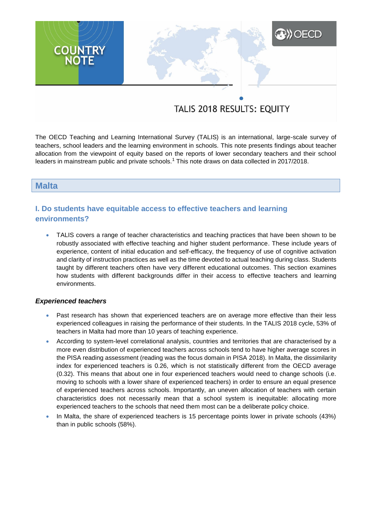# **A) OECD COUNTRY**<br>NOTE

## TALIS 2018 RESULTS: EQUITY

The OECD Teaching and Learning International Survey (TALIS) is an international, large-scale survey of teachers, school leaders and the learning environment in schools. This note presents findings about teacher allocation from the viewpoint of equity based on the reports of lower secondary teachers and their school leaders in mainstream public and private schools.<sup>1</sup> This note draws on data collected in 2017/2018.

#### **Malta**

### **I. Do students have equitable access to effective teachers and learning environments?**

 TALIS covers a range of teacher characteristics and teaching practices that have been shown to be robustly associated with effective teaching and higher student performance. These include years of experience, content of initial education and self-efficacy, the frequency of use of cognitive activation and clarity of instruction practices as well as the time devoted to actual teaching during class. Students taught by different teachers often have very different educational outcomes. This section examines how students with different backgrounds differ in their access to effective teachers and learning environments.

#### *Experienced teachers*

- Past research has shown that experienced teachers are on average more effective than their less experienced colleagues in raising the performance of their students. In the TALIS 2018 cycle, 53% of teachers in Malta had more than 10 years of teaching experience.
- According to system-level correlational analysis, countries and territories that are characterised by a more even distribution of experienced teachers across schools tend to have higher average scores in the PISA reading assessment (reading was the focus domain in PISA 2018). In Malta, the dissimilarity index for experienced teachers is 0.26, which is not statistically different from the OECD average (0.32). This means that about one in four experienced teachers would need to change schools (i.e. moving to schools with a lower share of experienced teachers) in order to ensure an equal presence of experienced teachers across schools. Importantly, an uneven allocation of teachers with certain characteristics does not necessarily mean that a school system is inequitable: allocating more experienced teachers to the schools that need them most can be a deliberate policy choice.
- In Malta, the share of experienced teachers is 15 percentage points lower in private schools (43%) than in public schools (58%).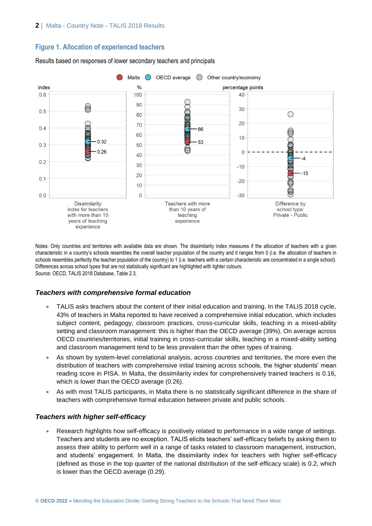#### **Figure 1. Allocation of experienced teachers**

#### OECD average  $\bigcirc$  Other country/economy Malta  $\frac{9}{6}$ index percentage points  $0.6$ 100 40 90  $\circledcirc$ **DOOD**  $30$  $0.5$ ◯  $80$ 20 E  $70$  $0<sub>4</sub>$ π 66  $\circledcirc$  $\mathbb{C}$ 60  $10$  $0.32$ 53  $50$  $0.3$  $0.26$  $\Omega$  $40$  $\overline{\mathbf{A}}$  $0.2$  $30$  $-10$  $-15$ 20  $0.1$  $-20$ O  $10$  $\widehat{\odot}$  $0<sub>0</sub>$  $\Omega$  $-30$ **Dissimilarity** Teachers with more Difference by than 10 years of index for teachers school type: Private - Public with more than 10 teaching vears of teaching experience

Results based on responses of lower secondary teachers and principals

Notes: Only countries and territories with available data are shown. The dissimilarity index measures if the allocation of teachers with a given characteristic in a country's schools resembles the overall teacher population of the country and it ranges from 0 (i.e. the allocation of teachers in schools resembles perfectly the teacher population of the country) to 1 (i.e. teachers with a certain characteristic are concentrated in a single school). Differences across school types that are not statistically significant are highlighted with lighter colours. Source: OECD, TALIS 2018 Database, Table 2.3.

#### *Teachers with comprehensive formal education*

experience

- TALIS asks teachers about the content of their initial education and training. In the TALIS 2018 cycle, 43% of teachers in Malta reported to have received a comprehensive initial education, which includes subject content, pedagogy, classroom practices, cross-curricular skills, teaching in a mixed-ability setting and classroom management: this is higher than the OECD average (39%). On average across OECD countries/territories, initial training in cross-curricular skills, teaching in a mixed-ability setting and classroom management tend to be less prevalent than the other types of training.
- As shown by system-level correlational analysis, across countries and territories, the more even the distribution of teachers with comprehensive initial training across schools, the higher students' mean reading score in PISA. In Malta, the dissimilarity index for comprehensively trained teachers is 0.16, which is lower than the OECD average (0.26).
- As with most TALIS participants, in Malta there is no statistically significant difference in the share of teachers with comprehensive formal education between private and public schools.

#### *Teachers with higher self-efficacy*

 Research highlights how self-efficacy is positively related to performance in a wide range of settings. Teachers and students are no exception. TALIS elicits teachers' self-efficacy beliefs by asking them to assess their ability to perform well in a range of tasks related to classroom management, instruction, and students' engagement. In Malta, the dissimilarity index for teachers with higher self-efficacy (defined as those in the top quarter of the national distribution of the self-efficacy scale) is 0.2, which is lower than the OECD average (0.29).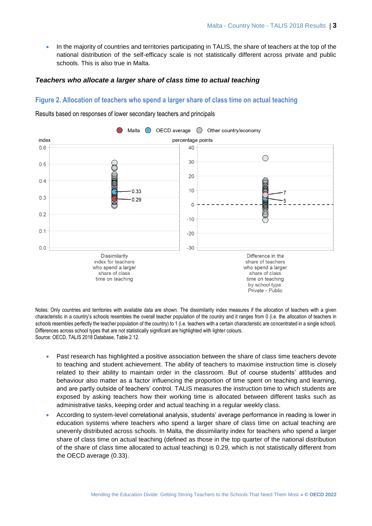• In the majority of countries and territories participating in TALIS, the share of teachers at the top of the national distribution of the self-efficacy scale is not statistically different across private and public schools. This is also true in Malta.

#### *Teachers who allocate a larger share of class time to actual teaching*

#### **Figure 2. Allocation of teachers who spend a larger share of class time on actual teaching**



Results based on responses of lower secondary teachers and principals

Notes: Only countries and territories with available data are shown. The dissimilarity index measures if the allocation of teachers with a given characteristic in a country's schools resembles the overall teacher population of the country and it ranges from 0 (i.e. the allocation of teachers in schools resembles perfectly the teacher population of the country) to 1 (i.e. teachers with a certain characteristic are concentrated in a single school). Differences across school types that are not statistically significant are highlighted with lighter colours. Source: OECD, TALIS 2018 Database, Table 2.12.

- Past research has highlighted a positive association between the share of class time teachers devote to teaching and student achievement. The ability of teachers to maximise instruction time is closely related to their ability to maintain order in the classroom. But of course students' attitudes and behaviour also matter as a factor influencing the proportion of time spent on teaching and learning, and are partly outside of teachers' control. TALIS measures the instruction time to which students are exposed by asking teachers how their working time is allocated between different tasks such as administrative tasks, keeping order and actual teaching in a regular weekly class.
- According to system-level correlational analysis, students' average performance in reading is lower in education systems where teachers who spend a larger share of class time on actual teaching are unevenly distributed across schools. In Malta, the dissimilarity index for teachers who spend a larger share of class time on actual teaching (defined as those in the top quarter of the national distribution of the share of class time allocated to actual teaching) is 0.29, which is not statistically different from the OECD average (0.33).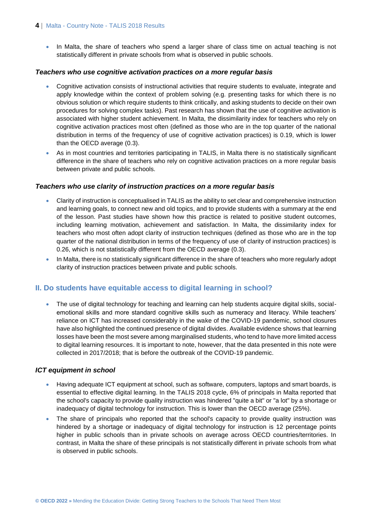#### **4** | Malta - Country Note - TALIS 2018 Results

• In Malta, the share of teachers who spend a larger share of class time on actual teaching is not statistically different in private schools from what is observed in public schools.

#### *Teachers who use cognitive activation practices on a more regular basis*

- Cognitive activation consists of instructional activities that require students to evaluate, integrate and apply knowledge within the context of problem solving (e.g. presenting tasks for which there is no obvious solution or which require students to think critically, and asking students to decide on their own procedures for solving complex tasks). Past research has shown that the use of cognitive activation is associated with higher student achievement. In Malta, the dissimilarity index for teachers who rely on cognitive activation practices most often (defined as those who are in the top quarter of the national distribution in terms of the frequency of use of cognitive activation practices) is 0.19, which is lower than the OECD average (0.3).
- As in most countries and territories participating in TALIS, in Malta there is no statistically significant difference in the share of teachers who rely on cognitive activation practices on a more regular basis between private and public schools.

#### *Teachers who use clarity of instruction practices on a more regular basis*

- Clarity of instruction is conceptualised in TALIS as the ability to set clear and comprehensive instruction and learning goals, to connect new and old topics, and to provide students with a summary at the end of the lesson. Past studies have shown how this practice is related to positive student outcomes, including learning motivation, achievement and satisfaction. In Malta, the dissimilarity index for teachers who most often adopt clarity of instruction techniques (defined as those who are in the top quarter of the national distribution in terms of the frequency of use of clarity of instruction practices) is 0.26, which is not statistically different from the OECD average (0.3).
- In Malta, there is no statistically significant difference in the share of teachers who more regularly adopt clarity of instruction practices between private and public schools.

#### **II. Do students have equitable access to digital learning in school?**

• The use of digital technology for teaching and learning can help students acquire digital skills, socialemotional skills and more standard cognitive skills such as numeracy and literacy. While teachers' reliance on ICT has increased considerably in the wake of the COVID-19 pandemic, school closures have also highlighted the continued presence of digital divides. Available evidence shows that learning losses have been the most severe among marginalised students, who tend to have more limited access to digital learning resources. It is important to note, however, that the data presented in this note were collected in 2017/2018; that is before the outbreak of the COVID-19 pandemic.

#### *ICT equipment in school*

- Having adequate ICT equipment at school, such as software, computers, laptops and smart boards, is essential to effective digital learning. In the TALIS 2018 cycle, 6% of principals in Malta reported that the school's capacity to provide quality instruction was hindered "quite a bit" or "a lot" by a shortage or inadequacy of digital technology for instruction. This is lower than the OECD average (25%).
- The share of principals who reported that the school's capacity to provide quality instruction was hindered by a shortage or inadequacy of digital technology for instruction is 12 percentage points higher in public schools than in private schools on average across OECD countries/territories. In contrast, in Malta the share of these principals is not statistically different in private schools from what is observed in public schools.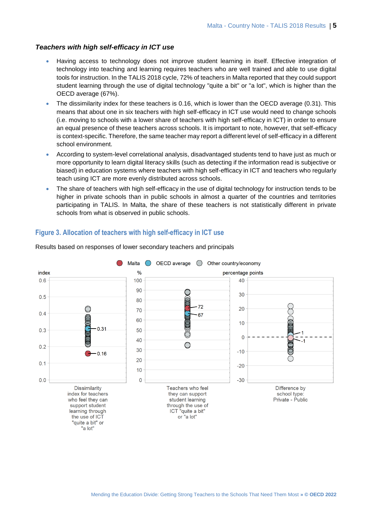#### *Teachers with high self-efficacy in ICT use*

- Having access to technology does not improve student learning in itself. Effective integration of technology into teaching and learning requires teachers who are well trained and able to use digital tools for instruction. In the TALIS 2018 cycle, 72% of teachers in Malta reported that they could support student learning through the use of digital technology "quite a bit" or "a lot", which is higher than the OECD average (67%).
- The dissimilarity index for these teachers is 0.16, which is lower than the OECD average (0.31). This means that about one in six teachers with high self-efficacy in ICT use would need to change schools (i.e. moving to schools with a lower share of teachers with high self-efficacy in ICT) in order to ensure an equal presence of these teachers across schools. It is important to note, however, that self-efficacy is context-specific. Therefore, the same teacher may report a different level of self-efficacy in a different school environment.
- According to system-level correlational analysis, disadvantaged students tend to have just as much or more opportunity to learn digital literacy skills (such as detecting if the information read is subjective or biased) in education systems where teachers with high self-efficacy in ICT and teachers who regularly teach using ICT are more evenly distributed across schools.
- The share of teachers with high self-efficacy in the use of digital technology for instruction tends to be higher in private schools than in public schools in almost a quarter of the countries and territories participating in TALIS. In Malta, the share of these teachers is not statistically different in private schools from what is observed in public schools.

#### **Figure 3. Allocation of teachers with high self-efficacy in ICT use**



Results based on responses of lower secondary teachers and principals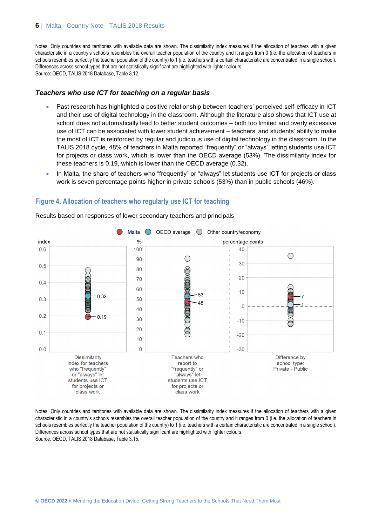Notes: Only countries and territories with available data are shown. The dissimilarity index measures if the allocation of teachers with a given characteristic in a country's schools resembles the overall teacher population of the country and it ranges from 0 (i.e. the allocation of teachers in schools resembles perfectly the teacher population of the country) to 1 (i.e. teachers with a certain characteristic are concentrated in a single school). Differences across school types that are not statistically significant are highlighted with lighter colours. Source: OECD, TALIS 2018 Database, Table 3.12.

#### *Teachers who use ICT for teaching on a regular basis*

- Past research has highlighted a positive relationship between teachers' perceived self-efficacy in ICT and their use of digital technology in the classroom. Although the literature also shows that ICT use at school does not automatically lead to better student outcomes – both too limited and overly excessive use of ICT can be associated with lower student achievement – teachers' and students' ability to make the most of ICT is reinforced by regular and judicious use of digital technology in the classroom. In the TALIS 2018 cycle, 48% of teachers in Malta reported "frequently" or "always" letting students use ICT for projects or class work, which is lower than the OECD average (53%). The dissimilarity index for these teachers is 0.19, which is lower than the OECD average (0.32).
- In Malta, the share of teachers who "frequently" or "always" let students use ICT for projects or class work is seven percentage points higher in private schools (53%) than in public schools (46%).

#### **Figure 4. Allocation of teachers who regularly use ICT for teaching**



Results based on responses of lower secondary teachers and principals

Notes: Only countries and territories with available data are shown. The dissimilarity index measures if the allocation of teachers with a given characteristic in a country's schools resembles the overall teacher population of the country and it ranges from 0 (i.e. the allocation of teachers in schools resembles perfectly the teacher population of the country) to 1 (i.e. teachers with a certain characteristic are concentrated in a single school). Differences across school types that are not statistically significant are highlighted with lighter colours. Source: OECD, TALIS 2018 Database, Table 3.15.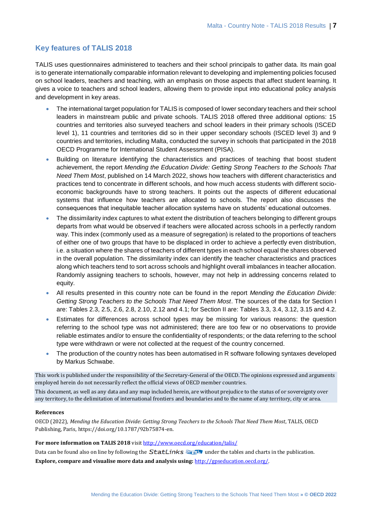#### **Key features of TALIS 2018**

TALIS uses questionnaires administered to teachers and their school principals to gather data. Its main goal is to generate internationally comparable information relevant to developing and implementing policies focused on school leaders, teachers and teaching, with an emphasis on those aspects that affect student learning. It gives a voice to teachers and school leaders, allowing them to provide input into educational policy analysis and development in key areas.

- The international target population for TALIS is composed of lower secondary teachers and their school leaders in mainstream public and private schools. TALIS 2018 offered three additional options: 15 countries and territories also surveyed teachers and school leaders in their primary schools (ISCED level 1), 11 countries and territories did so in their upper secondary schools (ISCED level 3) and 9 countries and territories, including Malta, conducted the survey in schools that participated in the 2018 OECD Programme for International Student Assessment (PISA).
- Building on literature identifying the characteristics and practices of teaching that boost student achievement, the report *Mending the Education Divide: Getting Strong Teachers to the Schools That Need Them Most*, published on 14 March 2022, shows how teachers with different characteristics and practices tend to concentrate in different schools, and how much access students with different socioeconomic backgrounds have to strong teachers. It points out the aspects of different educational systems that influence how teachers are allocated to schools. The report also discusses the consequences that inequitable teacher allocation systems have on students' educational outcomes.
- The dissimilarity index captures to what extent the distribution of teachers belonging to different groups departs from what would be observed if teachers were allocated across schools in a perfectly random way. This index (commonly used as a measure of segregation) is related to the proportions of teachers of either one of two groups that have to be displaced in order to achieve a perfectly even distribution, i.e. a situation where the shares of teachers of different types in each school equal the shares observed in the overall population. The dissimilarity index can identify the teacher characteristics and practices along which teachers tend to sort across schools and highlight overall imbalances in teacher allocation. Randomly assigning teachers to schools, however, may not help in addressing concerns related to equity.
- All results presented in this country note can be found in the report *Mending the Education Divide: Getting Strong Teachers to the Schools That Need Them Most*. The sources of the data for Section I are: Tables 2.3, 2.5, 2.6, 2.8, 2.10, 2.12 and 4.1; for Section II are: Tables 3.3, 3.4, 3.12, 3.15 and 4.2.
- Estimates for differences across school types may be missing for various reasons: the question referring to the school type was not administered; there are too few or no observations to provide reliable estimates and/or to ensure the confidentiality of respondents; or the data referring to the school type were withdrawn or were not collected at the request of the country concerned.
- The production of the country notes has been automatised in R software following syntaxes developed by Markus Schwabe.

This work is published under the responsibility of the Secretary-General of the OECD. The opinions expressed and arguments employed herein do not necessarily reflect the official views of OECD member countries.

This document, as well as any data and any map included herein, are without prejudice to the status of or sovereignty over any territory, to the delimitation of international frontiers and boundaries and to the name of any territory, city or area.

#### **References**

OECD (2022), *Mending the Education Divide: Getting Strong Teachers to the Schools That Need Them Most*, TALIS, OECD Publishing, Paris, https://doi.org/10.1787/92b75874-en.

#### For more information on TALIS 2018 visi[t http://www.oecd.org/education/talis/](http://www.oecd.org/education/talis/)

Data can be found also on line by following the **StatLinks**  $\frac{1}{\sqrt{2}}$  under the tables and charts in the publication. **Explore, compare and visualise more data and analysis using:** [http://gpseducation.oecd.org/.](http://gpseducation.oecd.org/)